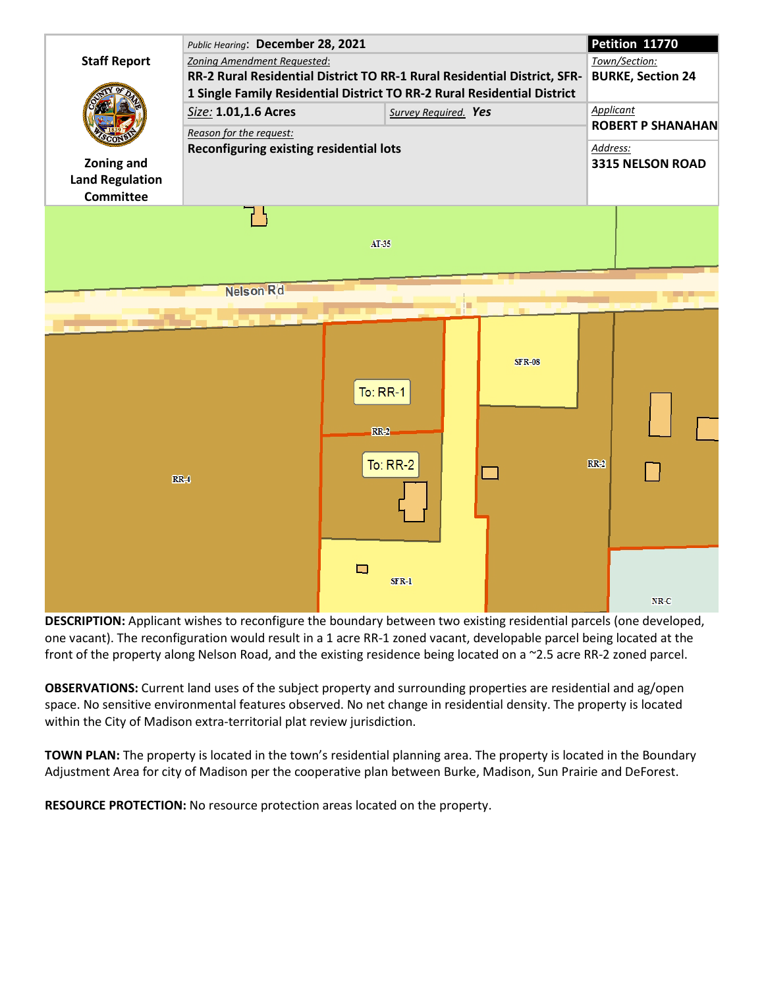

**DESCRIPTION:** Applicant wishes to reconfigure the boundary between two existing residential parcels (one developed, one vacant). The reconfiguration would result in a 1 acre RR-1 zoned vacant, developable parcel being located at the front of the property along Nelson Road, and the existing residence being located on a ~2.5 acre RR-2 zoned parcel.

**OBSERVATIONS:** Current land uses of the subject property and surrounding properties are residential and ag/open space. No sensitive environmental features observed. No net change in residential density. The property is located within the City of Madison extra-territorial plat review jurisdiction.

**TOWN PLAN:** The property is located in the town's residential planning area. The property is located in the Boundary Adjustment Area for city of Madison per the cooperative plan between Burke, Madison, Sun Prairie and DeForest.

**RESOURCE PROTECTION:** No resource protection areas located on the property.